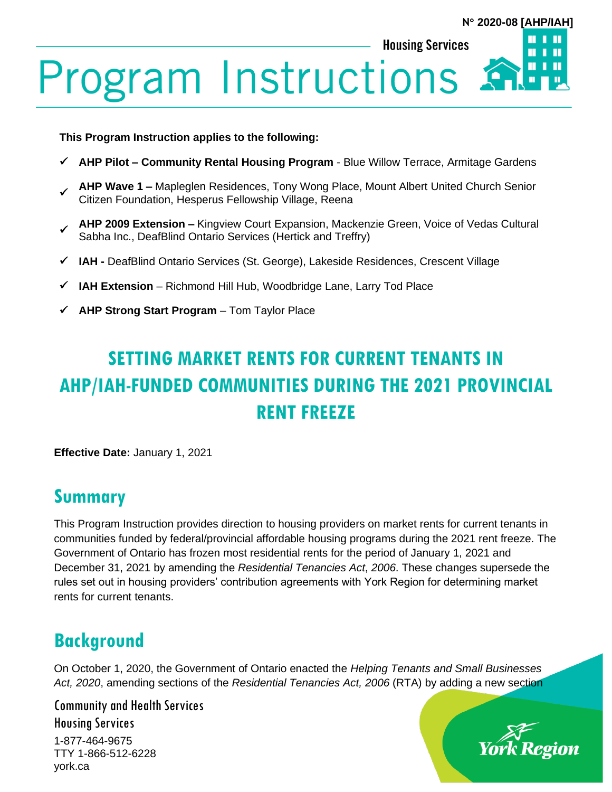#### **N 2020-08 [AHP/IAH]**

Ш

**Housing Services** 

# **Program Instructions 5**

**This Program Instruction applies to the following:**

- ✓ **AHP Pilot – Community Rental Housing Program** Blue Willow Terrace, Armitage Gardens
- ✓ **AHP Wave 1 –** Mapleglen Residences, Tony Wong Place, Mount Albert United Church Senior Citizen Foundation, Hesperus Fellowship Village, Reena
- **AHP 2009 Extension –** Kingview Court Expansion, Mackenzie Green, Voice of Vedas Cultural Sabha Inc., DeafBlind Ontario Services (Hertick and Treffry)
- ✓ **IAH -** DeafBlind Ontario Services (St. George), Lakeside Residences, Crescent Village
- ✓ **IAH Extension**  Richmond Hill Hub, Woodbridge Lane, Larry Tod Place
- ✓ **AHP Strong Start Program**  Tom Taylor Place

## **SETTING MARKET RENTS FOR CURRENT TENANTS IN AHP/IAH-FUNDED COMMUNITIES DURING THE 2021 PROVINCIAL RENT FREEZE**

**Effective Date:** January 1, 2021

#### **Summary**

This Program Instruction provides direction to housing providers on market rents for current tenants in communities funded by federal/provincial affordable housing programs during the 2021 rent freeze. The Government of Ontario has frozen most residential rents for the period of January 1, 2021 and December 31, 2021 by amending the *Residential Tenancies Act*, *2006*. These changes supersede the rules set out in housing providers' contribution agreements with York Region for determining market rents for current tenants.

#### **Background**

On October 1, 2020, the Government of Ontario enacted the *Helping Tenants and Small Businesses Act, 2020*, amending sections of the *Residential Tenancies Act, 2006* (RTA) by adding a new section

Community and Health Services Housing Services

1-877-464-9675 TTY 1-866-512-6228 york.ca